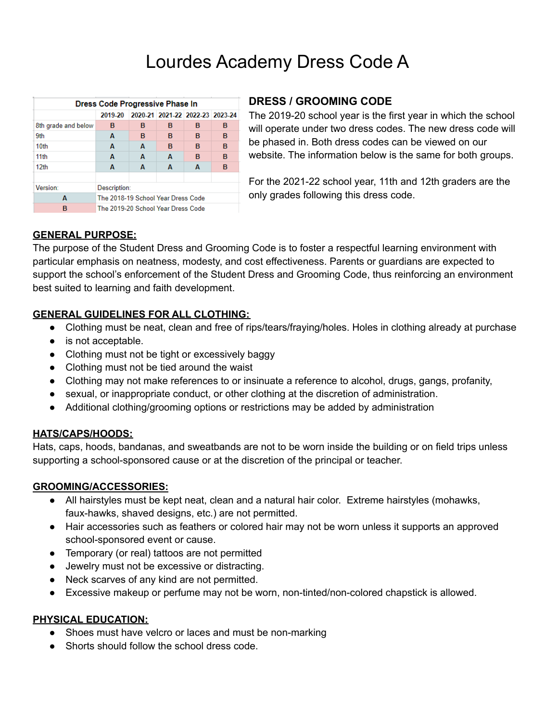# Lourdes Academy Dress Code A

| Dress Code Progressive Phase In |                                    |                                 |   |   |   |
|---------------------------------|------------------------------------|---------------------------------|---|---|---|
|                                 | 2019-20                            | 2020-21 2021-22 2022-23 2023-24 |   |   |   |
| 8th grade and below             | в                                  | в                               | в | в | в |
| 9th                             | A                                  | в                               | в | в | в |
| 10th                            | A                                  | A                               | в | в | в |
| 11 <sub>th</sub>                | A                                  | A                               | А | в | B |
| 12 <sub>th</sub>                | A                                  | A                               | A | A | в |
|                                 |                                    |                                 |   |   |   |
| Version:                        | Description:                       |                                 |   |   |   |
| A                               | The 2018-19 School Year Dress Code |                                 |   |   |   |
| в                               | The 2019-20 School Year Dress Code |                                 |   |   |   |

### **DRESS / GROOMING CODE**

The 2019-20 school year is the first year in which the school will operate under two dress codes. The new dress code will be phased in. Both dress codes can be viewed on our website. The information below is the same for both groups.

For the 2021-22 school year, 11th and 12th graders are the only grades following this dress code.

# **GENERAL PURPOSE:**

The purpose of the Student Dress and Grooming Code is to foster a respectful learning environment with particular emphasis on neatness, modesty, and cost effectiveness. Parents or guardians are expected to support the school's enforcement of the Student Dress and Grooming Code, thus reinforcing an environment best suited to learning and faith development.

# **GENERAL GUIDELINES FOR ALL CLOTHING:**

- Clothing must be neat, clean and free of rips/tears/fraying/holes. Holes in clothing already at purchase
- is not acceptable.
- Clothing must not be tight or excessively baggy
- Clothing must not be tied around the waist
- Clothing may not make references to or insinuate a reference to alcohol, drugs, gangs, profanity,
- sexual, or inappropriate conduct, or other clothing at the discretion of administration.
- Additional clothing/grooming options or restrictions may be added by administration

# **HATS/CAPS/HOODS:**

Hats, caps, hoods, bandanas, and sweatbands are not to be worn inside the building or on field trips unless supporting a school-sponsored cause or at the discretion of the principal or teacher.

# **GROOMING/ACCESSORIES:**

- All hairstyles must be kept neat, clean and a natural hair color. Extreme hairstyles (mohawks, faux-hawks, shaved designs, etc.) are not permitted.
- Hair accessories such as feathers or colored hair may not be worn unless it supports an approved school-sponsored event or cause.
- Temporary (or real) tattoos are not permitted
- Jewelry must not be excessive or distracting.
- Neck scarves of any kind are not permitted.
- Excessive makeup or perfume may not be worn, non-tinted/non-colored chapstick is allowed.

### **PHYSICAL EDUCATION:**

- Shoes must have velcro or laces and must be non-marking
- Shorts should follow the school dress code.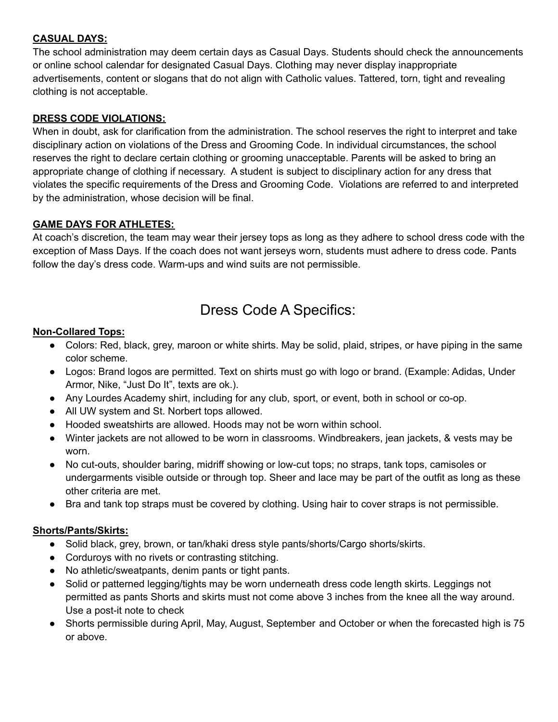# **CASUAL DAYS:**

The school administration may deem certain days as Casual Days. Students should check the announcements or online school calendar for designated Casual Days. Clothing may never display inappropriate advertisements, content or slogans that do not align with Catholic values. Tattered, torn, tight and revealing clothing is not acceptable.

### **DRESS CODE VIOLATIONS:**

When in doubt, ask for clarification from the administration. The school reserves the right to interpret and take disciplinary action on violations of the Dress and Grooming Code. In individual circumstances, the school reserves the right to declare certain clothing or grooming unacceptable. Parents will be asked to bring an appropriate change of clothing if necessary. A student is subject to disciplinary action for any dress that violates the specific requirements of the Dress and Grooming Code. Violations are referred to and interpreted by the administration, whose decision will be final.

### **GAME DAYS FOR ATHLETES:**

At coach's discretion, the team may wear their jersey tops as long as they adhere to school dress code with the exception of Mass Days. If the coach does not want jerseys worn, students must adhere to dress code. Pants follow the day's dress code. Warm-ups and wind suits are not permissible.

# Dress Code A Specifics:

### **Non-Collared Tops:**

- Colors: Red, black, grey, maroon or white shirts. May be solid, plaid, stripes, or have piping in the same color scheme.
- Logos: Brand logos are permitted. Text on shirts must go with logo or brand. (Example: Adidas, Under Armor, Nike, "Just Do It", texts are ok.).
- Any Lourdes Academy shirt, including for any club, sport, or event, both in school or co-op.
- All UW system and St. Norbert tops allowed.
- Hooded sweatshirts are allowed. Hoods may not be worn within school.
- Winter jackets are not allowed to be worn in classrooms. Windbreakers, jean jackets, & vests may be worn.
- No cut-outs, shoulder baring, midriff showing or low-cut tops; no straps, tank tops, camisoles or undergarments visible outside or through top. Sheer and lace may be part of the outfit as long as these other criteria are met.
- Bra and tank top straps must be covered by clothing. Using hair to cover straps is not permissible.

### **Shorts/Pants/Skirts:**

- Solid black, grey, brown, or tan/khaki dress style pants/shorts/Cargo shorts/skirts.
- Corduroys with no rivets or contrasting stitching.
- No athletic/sweatpants, denim pants or tight pants.
- Solid or patterned legging/tights may be worn underneath dress code length skirts. Leggings not permitted as pants Shorts and skirts must not come above 3 inches from the knee all the way around. Use a post-it note to check
- Shorts permissible during April, May, August, September and October or when the forecasted high is 75 or above.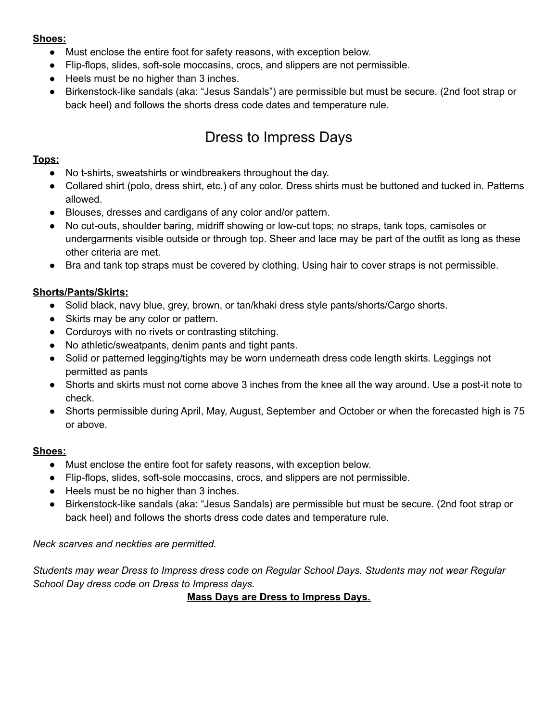### **Shoes:**

- Must enclose the entire foot for safety reasons, with exception below.
- Flip-flops, slides, soft-sole moccasins, crocs, and slippers are not permissible.
- Heels must be no higher than 3 inches.
- Birkenstock-like sandals (aka: "Jesus Sandals") are permissible but must be secure. (2nd foot strap or back heel) and follows the shorts dress code dates and temperature rule.

# Dress to Impress Days

# **Tops:**

- No t-shirts, sweatshirts or windbreakers throughout the day.
- Collared shirt (polo, dress shirt, etc.) of any color. Dress shirts must be buttoned and tucked in. Patterns allowed.
- Blouses, dresses and cardigans of any color and/or pattern.
- No cut-outs, shoulder baring, midriff showing or low-cut tops; no straps, tank tops, camisoles or undergarments visible outside or through top. Sheer and lace may be part of the outfit as long as these other criteria are met.
- Bra and tank top straps must be covered by clothing. Using hair to cover straps is not permissible.

# **Shorts/Pants/Skirts:**

- Solid black, navy blue, grey, brown, or tan/khaki dress style pants/shorts/Cargo shorts.
- Skirts may be any color or pattern.
- Corduroys with no rivets or contrasting stitching.
- No athletic/sweatpants, denim pants and tight pants.
- Solid or patterned legging/tights may be worn underneath dress code length skirts. Leggings not permitted as pants
- Shorts and skirts must not come above 3 inches from the knee all the way around. Use a post-it note to check.
- Shorts permissible during April, May, August, September and October or when the forecasted high is 75 or above.

# **Shoes:**

- Must enclose the entire foot for safety reasons, with exception below.
- Flip-flops, slides, soft-sole moccasins, crocs, and slippers are not permissible.
- Heels must be no higher than 3 inches.
- Birkenstock-like sandals (aka: "Jesus Sandals) are permissible but must be secure. (2nd foot strap or back heel) and follows the shorts dress code dates and temperature rule.

*Neck scarves and neckties are permitted.*

*Students may wear Dress to Impress dress code on Regular School Days. Students may not wear Regular School Day dress code on Dress to Impress days.*

**Mass Days are Dress to Impress Days.**